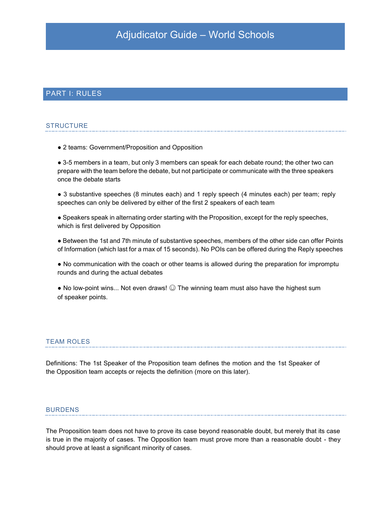## PART I: RULES

### **STRUCTURE**

• 2 teams: Government/Proposition and Opposition

• 3-5 members in a team, but only 3 members can speak for each debate round; the other two can prepare with the team before the debate, but not participate or communicate with the three speakers once the debate starts

• 3 substantive speeches (8 minutes each) and 1 reply speech (4 minutes each) per team; reply speeches can only be delivered by either of the first 2 speakers of each team

Ɣ Speakers speak in alternating order starting with the Proposition, except for the reply speeches, which is first delivered by Opposition

Ɣ Between the 1st and 7th minute of substantive speeches, members of the other side can offer Points of Information (which last for a max of 15 seconds). No POIs can be offered during the Reply speeches

• No communication with the coach or other teams is allowed during the preparation for impromptu rounds and during the actual debates

• No low-point wins... Not even draws!  $\odot$  The winning team must also have the highest sum of speaker points.

## TEAM ROLES

Definitions: The 1st Speaker of the Proposition team defines the motion and the 1st Speaker of the Opposition team accepts or rejects the definition (more on this later).

#### BURDENS

The Proposition team does not have to prove its case beyond reasonable doubt, but merely that its case is true in the majority of cases. The Opposition team must prove more than a reasonable doubt - they should prove at least a significant minority of cases.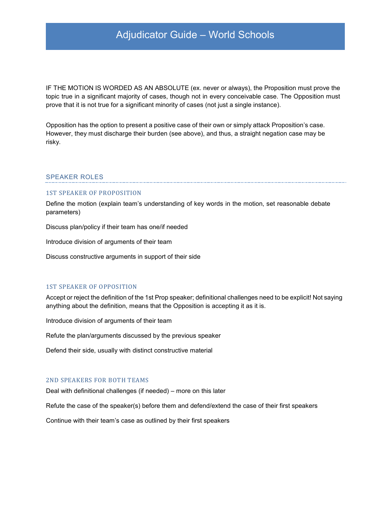IF THE MOTION IS WORDED AS AN ABSOLUTE (ex. never or always), the Proposition must prove the topic true in a significant majority of cases, though not in every conceivable case. The Opposition must prove that it is not true for a significant minority of cases (not just a single instance).

Opposition has the option to present a positive case of their own or simply attack Proposition's case. However, they must discharge their burden (see above), and thus, a straight negation case may be risky.

### SPEAKER ROLES

#### 1ST SPEAKER OF PROPOSITION

Define the motion (explain team's understanding of key words in the motion, set reasonable debate parameters)

Discuss plan/policy if their team has one/if needed

Introduce division of arguments of their team

Discuss constructive arguments in support of their side

#### 1ST SPEAKER OF OPPOSITION

Accept or reject the definition of the 1st Prop speaker; definitional challenges need to be explicit! Not saying anything about the definition, means that the Opposition is accepting it as it is.

Introduce division of arguments of their team

Refute the plan/arguments discussed by the previous speaker

Defend their side, usually with distinct constructive material

## 2ND SPEAKERS FOR BOTH TEAMS

Deal with definitional challenges (if needed)  $-$  more on this later

Refute the case of the speaker(s) before them and defend/extend the case of their first speakers

Continue with their team's case as outlined by their first speakers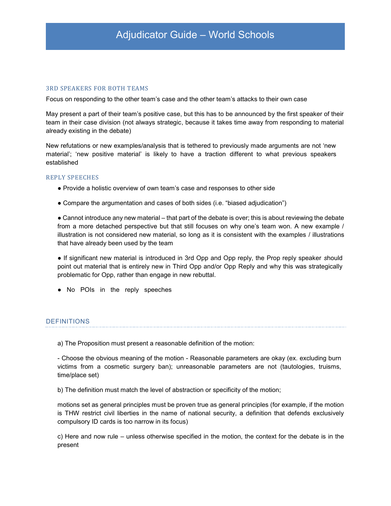### 3RD SPEAKERS FOR BOTH TEAMS

Focus on responding to the other team's case and the other team's attacks to their own case

May present a part of their team's positive case, but this has to be announced by the first speaker of their team in their case division (not always strategic, because it takes time away from responding to material already existing in the debate)

New refutations or new examples/analysis that is tethered to previously made arguments are not 'new material'; 'new positive material' is likely to have a traction different to what previous speakers established

#### REPLY SPEECHES

- Provide a holistic overview of own team's case and responses to other side
- Compare the argumentation and cases of both sides (i.e. "biased adjudication")

• Cannot introduce any new material – that part of the debate is over; this is about reviewing the debate from a more detached perspective but that still focuses on why one's team won. A new example / illustration is not considered new material, so long as it is consistent with the examples / illustrations that have already been used by the team

Ɣ If significant new material is introduced in 3rd Opp and Opp reply, the Prop reply speaker *s*hould point out material that is entirely new in Third Opp and/or Opp Reply and why this was strategically problematic for Opp, rather than engage in new rebuttal.

Ɣ No POIs in the reply speeches

#### DEFINITIONS

a) The Proposition must present a reasonable definition of the motion:

- Choose the obvious meaning of the motion - Reasonable parameters are okay (ex. excluding burn victims from a cosmetic surgery ban); unreasonable parameters are not (tautologies, truisms, time/place set)

b) The definition must match the level of abstraction or specificity of the motion;

motions set as general principles must be proven true as general principles (for example, if the motion is THW restrict civil liberties in the name of national security, a definition that defends exclusively compulsory ID cards is too narrow in its focus)

c) Here and now rule  $-$  unless otherwise specified in the motion, the context for the debate is in the present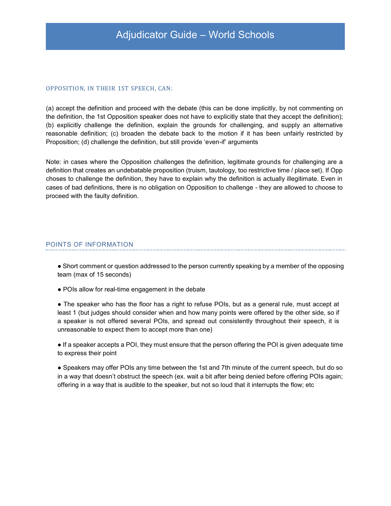#### OPPOSITION, IN THEIR 1ST SPEECH, CAN:

(a) accept the definition and proceed with the debate (this can be done implicitly, by not commenting on the definition, the 1st Opposition speaker does not have to explicitly state that they accept the definition); (b) explicitly challenge the definition, explain the grounds for challenging, and supply an alternative reasonable definition; (c) broaden the debate back to the motion if it has been unfairly restricted by Proposition; (d) challenge the definition, but still provide 'even-if' arguments

Note: in cases where the Opposition challenges the definition, legitimate grounds for challenging are a definition that creates an undebatable proposition (truism, tautology, too restrictive time / place set). If Opp choses to challenge the definition, they have to explain why the definition is actually illegitimate. Even in cases of bad definitions, there is no obligation on Opposition to challenge - they are allowed to choose to proceed with the faulty definition.

## POINTS OF INFORMATION

• Short comment or question addressed to the person currently speaking by a member of the opposing team (max of 15 seconds)

• POIs allow for real-time engagement in the debate

• The speaker who has the floor has a right to refuse POIs, but as a general rule, must accept at least 1 (but judges should consider when and how many points were offered by the other side, so if a speaker is not offered several POIs, and spread out consistently throughout their speech, it is unreasonable to expect them to accept more than one)

Ɣ If a speaker accepts a POI, they must ensure that the person offering the POI is given adequate time to express their point

Ɣ Speakers may offer POIs any time between the 1st and 7th minute of the current speech, but do so in a way that doesn't obstruct the speech (ex. wait a bit after being denied before offering POIs again; offering in a way that is audible to the speaker, but not so loud that it interrupts the flow; etc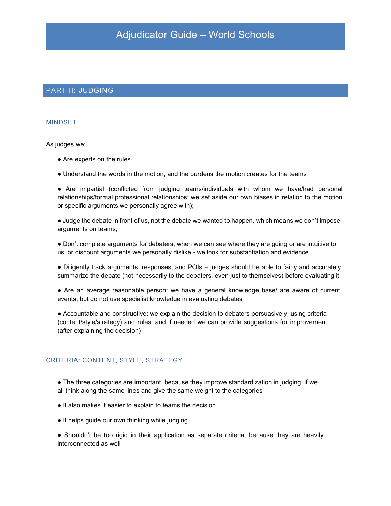## PART II: JUDGING

#### MINDSET

As judges we:

- Are experts on the rules
- Understand the words in the motion, and the burdens the motion creates for the teams
- Ɣ Are impartial (conflicted from judging teams/individuals with whom we have/had personal relationships/formal professional relationships; we set aside our own biases in relation to the motion or specific arguments we personally agree with);

• Judge the debate in front of us, not the debate we wanted to happen, which means we don't impose arguments on teams;

• Don't complete arguments for debaters, when we can see where they are going or are intuitive to us, or discount arguments we personally dislike - we look for substantiation and evidence

• Diligently track arguments, responses, and POIs - judges should be able to fairly and accurately summarize the debate (not necessarily to the debaters, even just to themselves) before evaluating it

• Are an average reasonable person: we have a general knowledge base/ are aware of current events, but do not use specialist knowledge in evaluating debates

Ɣ Accountable and constructive: we explain the decision to debaters persuasively, using criteria (content/style/strategy) and rules, and if needed we can provide suggestions for improvement (after explaining the decision)

#### CRITERIA: CONTENT, STYLE, STRATEGY

- The three categories are important, because they improve standardization in judging, if we all think along the same lines and give the same weight to the categories
- Ɣ It also makes it easier to explain to teams the decision
- It helps guide our own thinking while judging
- Shouldn't be too rigid in their application as separate criteria, because they are heavily interconnected as well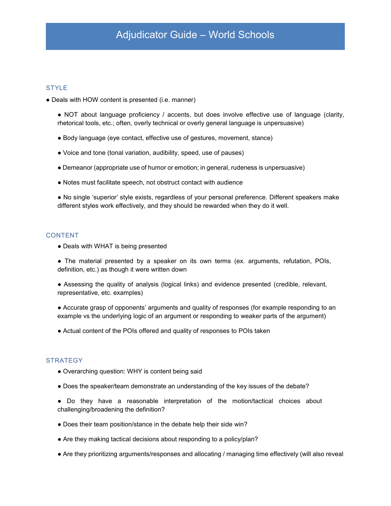### **STYLE**

- Deals with HOW content is presented (i.e. manner)
	- NOT about language proficiency / accents, but does involve effective use of language (clarity, rhetorical tools, etc.; often, overly technical or overly general language is unpersuasive)
	- Ɣ Body language (eye contact, effective use of gestures, movement, stance)
	- Ɣ Voice and tone (tonal variation, audibility, speed, use of pauses)
	- Demeanor (appropriate use of humor or emotion; in general, rudeness is unpersuasive)
	- Ɣ Notes must facilitate speech, not obstruct contact with audience

• No single 'superior' style exists, regardless of your personal preference. Different speakers make different styles work effectively, and they should be rewarded when they do it well.

## CONTENT

• Deals with WHAT is being presented

• The material presented by a speaker on its own terms (ex. arguments, refutation, POIs, definition, etc.) as though it were written down

- Ɣ Assessing the quality of analysis (logical links) and evidence presented (credible, relevant, representative, etc. examples)
- Accurate grasp of opponents' arguments and quality of responses (for example responding to an example vs the underlying logic of an argument or responding to weaker parts of the argument)
- Actual content of the POIs offered and quality of responses to POIs taken

#### **STRATEGY**

- Overarching question: WHY is content being said
- Ɣ Does the speaker/team demonstrate an understanding of the key issues of the debate?
- Ɣ Do they have a reasonable interpretation of the motion/tactical choices about challenging/broadening the definition?
- Does their team position/stance in the debate help their side win?
- Are they making tactical decisions about responding to a policy/plan?
- Are they prioritizing arguments/responses and allocating / managing time effectively (will also reveal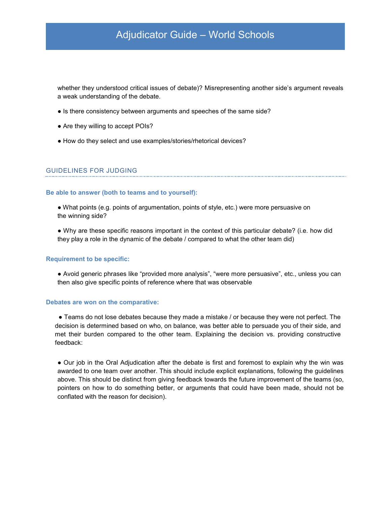whether they understood critical issues of debate)? Misrepresenting another side's argument reveals a weak understanding of the debate.

- Is there consistency between arguments and speeches of the same side?
- Are they willing to accept POIs?
- Ɣ How do they select and use examples/stories/rhetorical devices?

### GUIDELINES FOR JUDGING

#### **Be able to answer (both to teams and to yourself):**

Ɣ What points (e.g. points of argumentation, points of style, etc.) were more persuasive on the winning side?

Ɣ Why are these specific reasons important in the context of this particular debate? (i.e. how did they play a role in the dynamic of the debate / compared to what the other team did)

#### **Requirement to be specific:**

• Avoid generic phrases like "provided more analysis", "were more persuasive", etc., unless you can then also give specific points of reference where that was observable

#### **Debates are won on the comparative:**

• Teams do not lose debates because they made a mistake / or because they were not perfect. The decision is determined based on who, on balance, was better able to persuade you of their side, and met their burden compared to the other team. Explaining the decision vs. providing constructive feedback:

• Our job in the Oral Adjudication after the debate is first and foremost to explain why the win was awarded to one team over another. This should include explicit explanations, following the guidelines above. This should be distinct from giving feedback towards the future improvement of the teams (so, pointers on how to do something better, or arguments that could have been made, should not be conflated with the reason for decision).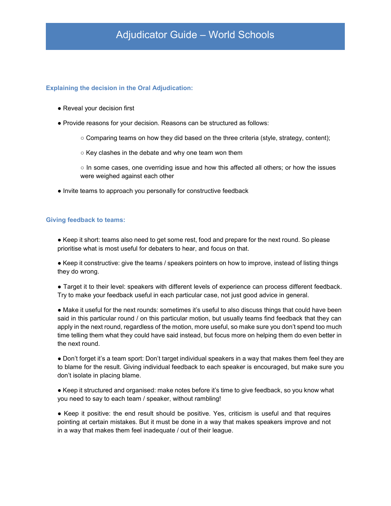### **Explaining the decision in the Oral Adjudication:**

- Reveal your decision first
- Ɣ Provide reasons for your decision. Reasons can be structured as follows:
	- $\circ$  Comparing teams on how they did based on the three criteria (style, strategy, content);
	- $\circ$  Key clashes in the debate and why one team won them
	- $\circ$  In some cases, one overriding issue and how this affected all others; or how the issues were weighed against each other
- Ɣ Invite teams to approach you personally for constructive feedback

### **Giving feedback to teams:**

- Keep it short: teams also need to get some rest, food and prepare for the next round. So please prioritise what is most useful for debaters to hear, and focus on that.
- Ɣ Keep it constructive: give the teams / speakers pointers on how to improve, instead of listing things they do wrong.
- Target it to their level: speakers with different levels of experience can process different feedback. Try to make your feedback useful in each particular case, not just good advice in general.
- Make it useful for the next rounds: sometimes it's useful to also discuss things that could have been said in this particular round / on this particular motion, but usually teams find feedback that they can apply in the next round, regardless of the motion, more useful, so make sure you don't spend too much time telling them what they could have said instead, but focus more on helping them do even better in the next round.
- Don't forget it's a team sport: Don't target individual speakers in a way that makes them feel they are to blame for the result. Giving individual feedback to each speaker is encouraged, but make sure you don't isolate in placing blame.
- Keep it structured and organised: make notes before it's time to give feedback, so you know what you need to say to each team / speaker, without rambling!
- Keep it positive: the end result should be positive. Yes, criticism is useful and that requires pointing at certain mistakes. But it must be done in a way that makes speakers improve and not in a way that makes them feel inadequate / out of their league.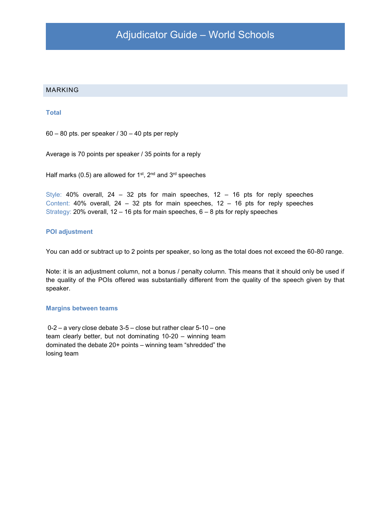### MARKING

#### **Total**

 $60 - 80$  pts. per speaker /  $30 - 40$  pts per reply

Average is 70 points per speaker / 35 points for a reply

Half marks (0.5) are allowed for 1<sup>st</sup>, 2<sup>nd</sup> and 3<sup>rd</sup> speeches

Style: 40% overall, 24  $-$  32 pts for main speeches, 12  $-$  16 pts for reply speeches Content: 40% overall,  $24 - 32$  pts for main speeches,  $12 - 16$  pts for reply speeches Strategy: 20% overall,  $12 - 16$  pts for main speeches,  $6 - 8$  pts for reply speeches

## **POI adjustment**

You can add or subtract up to 2 points per speaker, so long as the total does not exceed the 60-80 range.

Note: it is an adjustment column, not a bonus / penalty column. This means that it should only be used if the quality of the POIs offered was substantially different from the quality of the speech given by that speaker.

#### **Margins between teams**

 $0-2$  - a very close debate 3-5 - close but rather clear 5-10 - one team clearly better, but not dominating  $10-20 -$  winning team dominated the debate  $20+$  points  $-$  winning team "shredded" the losing team